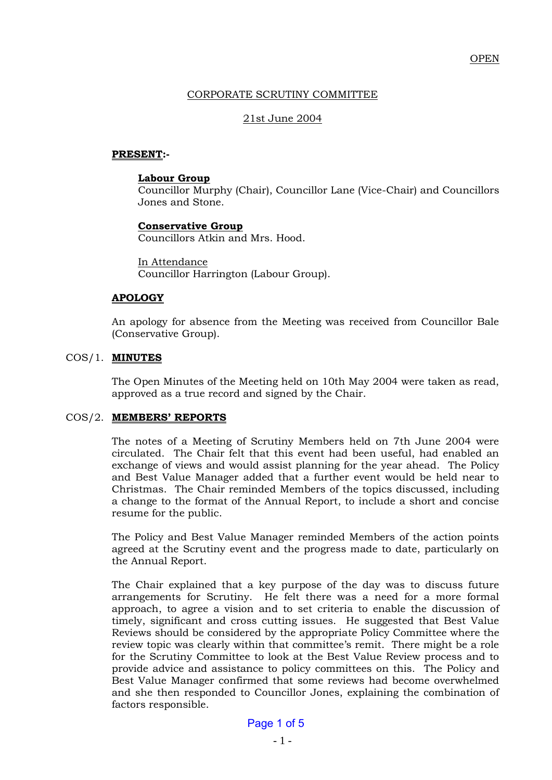# CORPORATE SCRUTINY COMMITTEE

### 21st June 2004

#### **PRESENT:-**

#### **Labour Group**

Councillor Murphy (Chair), Councillor Lane (Vice-Chair) and Councillors Jones and Stone.

# **Conservative Group**

Councillors Atkin and Mrs. Hood.

In Attendance Councillor Harrington (Labour Group).

# **APOLOGY**

An apology for absence from the Meeting was received from Councillor Bale (Conservative Group).

#### COS/1. **MINUTES**

The Open Minutes of the Meeting held on 10th May 2004 were taken as read, approved as a true record and signed by the Chair.

#### COS/2. **MEMBERS' REPORTS**

The notes of a Meeting of Scrutiny Members held on 7th June 2004 were circulated. The Chair felt that this event had been useful, had enabled an exchange of views and would assist planning for the year ahead. The Policy and Best Value Manager added that a further event would be held near to Christmas. The Chair reminded Members of the topics discussed, including a change to the format of the Annual Report, to include a short and concise resume for the public.

The Policy and Best Value Manager reminded Members of the action points agreed at the Scrutiny event and the progress made to date, particularly on the Annual Report.

The Chair explained that a key purpose of the day was to discuss future arrangements for Scrutiny. He felt there was a need for a more formal approach, to agree a vision and to set criteria to enable the discussion of timely, significant and cross cutting issues. He suggested that Best Value Reviews should be considered by the appropriate Policy Committee where the review topic was clearly within that committee's remit. There might be a role for the Scrutiny Committee to look at the Best Value Review process and to provide advice and assistance to policy committees on this. The Policy and Best Value Manager confirmed that some reviews had become overwhelmed and she then responded to Councillor Jones, explaining the combination of factors responsible.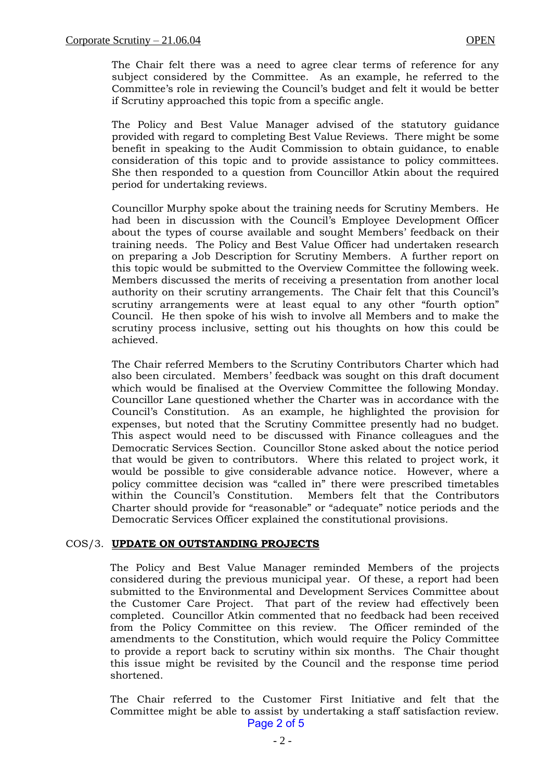The Chair felt there was a need to agree clear terms of reference for any subject considered by the Committee. As an example, he referred to the Committee's role in reviewing the Council's budget and felt it would be better if Scrutiny approached this topic from a specific angle.

The Policy and Best Value Manager advised of the statutory guidance provided with regard to completing Best Value Reviews. There might be some benefit in speaking to the Audit Commission to obtain guidance, to enable consideration of this topic and to provide assistance to policy committees. She then responded to a question from Councillor Atkin about the required period for undertaking reviews.

Councillor Murphy spoke about the training needs for Scrutiny Members. He had been in discussion with the Council's Employee Development Officer about the types of course available and sought Members' feedback on their training needs. The Policy and Best Value Officer had undertaken research on preparing a Job Description for Scrutiny Members. A further report on this topic would be submitted to the Overview Committee the following week. Members discussed the merits of receiving a presentation from another local authority on their scrutiny arrangements. The Chair felt that this Council's scrutiny arrangements were at least equal to any other "fourth option" Council. He then spoke of his wish to involve all Members and to make the scrutiny process inclusive, setting out his thoughts on how this could be achieved.

The Chair referred Members to the Scrutiny Contributors Charter which had also been circulated. Members' feedback was sought on this draft document which would be finalised at the Overview Committee the following Monday. Councillor Lane questioned whether the Charter was in accordance with the Council's Constitution. As an example, he highlighted the provision for expenses, but noted that the Scrutiny Committee presently had no budget. This aspect would need to be discussed with Finance colleagues and the Democratic Services Section. Councillor Stone asked about the notice period that would be given to contributors. Where this related to project work, it would be possible to give considerable advance notice. However, where a policy committee decision was "called in" there were prescribed timetables within the Council's Constitution. Members felt that the Contributors Charter should provide for "reasonable" or "adequate" notice periods and the Democratic Services Officer explained the constitutional provisions.

#### COS/3. **UPDATE ON OUTSTANDING PROJECTS**

The Policy and Best Value Manager reminded Members of the projects considered during the previous municipal year. Of these, a report had been submitted to the Environmental and Development Services Committee about the Customer Care Project. That part of the review had effectively been completed. Councillor Atkin commented that no feedback had been received from the Policy Committee on this review. The Officer reminded of the amendments to the Constitution, which would require the Policy Committee to provide a report back to scrutiny within six months. The Chair thought this issue might be revisited by the Council and the response time period shortened.

The Chair referred to the Customer First Initiative and felt that the Committee might be able to assist by undertaking a staff satisfaction review. Page 2 of 5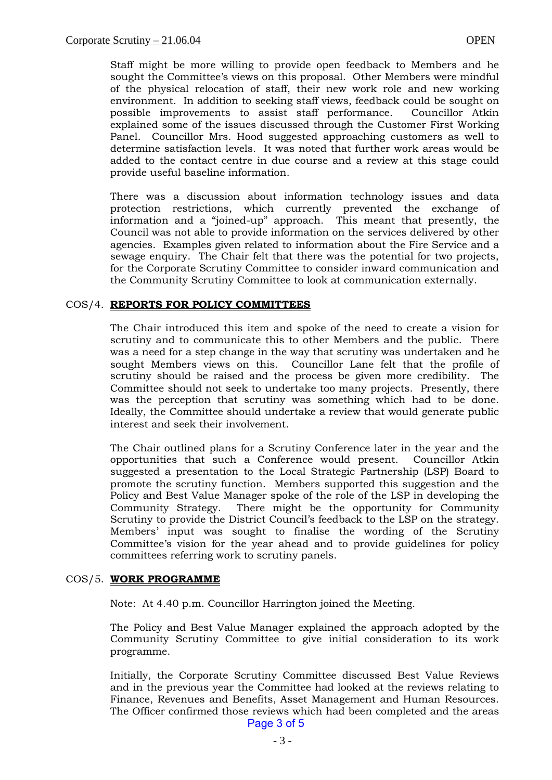Staff might be more willing to provide open feedback to Members and he sought the Committee's views on this proposal. Other Members were mindful of the physical relocation of staff, their new work role and new working environment. In addition to seeking staff views, feedback could be sought on possible improvements to assist staff performance. Councillor Atkin explained some of the issues discussed through the Customer First Working Panel. Councillor Mrs. Hood suggested approaching customers as well to determine satisfaction levels. It was noted that further work areas would be added to the contact centre in due course and a review at this stage could provide useful baseline information.

There was a discussion about information technology issues and data protection restrictions, which currently prevented the exchange of information and a "joined-up" approach. This meant that presently, the Council was not able to provide information on the services delivered by other agencies. Examples given related to information about the Fire Service and a sewage enquiry. The Chair felt that there was the potential for two projects, for the Corporate Scrutiny Committee to consider inward communication and the Community Scrutiny Committee to look at communication externally.

#### COS/4. **REPORTS FOR POLICY COMMITTEES**

The Chair introduced this item and spoke of the need to create a vision for scrutiny and to communicate this to other Members and the public. There was a need for a step change in the way that scrutiny was undertaken and he sought Members views on this. Councillor Lane felt that the profile of scrutiny should be raised and the process be given more credibility. The Committee should not seek to undertake too many projects. Presently, there was the perception that scrutiny was something which had to be done. Ideally, the Committee should undertake a review that would generate public interest and seek their involvement.

The Chair outlined plans for a Scrutiny Conference later in the year and the opportunities that such a Conference would present. Councillor Atkin suggested a presentation to the Local Strategic Partnership (LSP) Board to promote the scrutiny function. Members supported this suggestion and the Policy and Best Value Manager spoke of the role of the LSP in developing the Community Strategy. There might be the opportunity for Community Scrutiny to provide the District Council's feedback to the LSP on the strategy. Members' input was sought to finalise the wording of the Scrutiny Committee's vision for the year ahead and to provide guidelines for policy committees referring work to scrutiny panels.

#### COS/5. **WORK PROGRAMME**

Note: At 4.40 p.m. Councillor Harrington joined the Meeting.

The Policy and Best Value Manager explained the approach adopted by the Community Scrutiny Committee to give initial consideration to its work programme.

Initially, the Corporate Scrutiny Committee discussed Best Value Reviews and in the previous year the Committee had looked at the reviews relating to Finance, Revenues and Benefits, Asset Management and Human Resources. The Officer confirmed those reviews which had been completed and the areas Page 3 of 5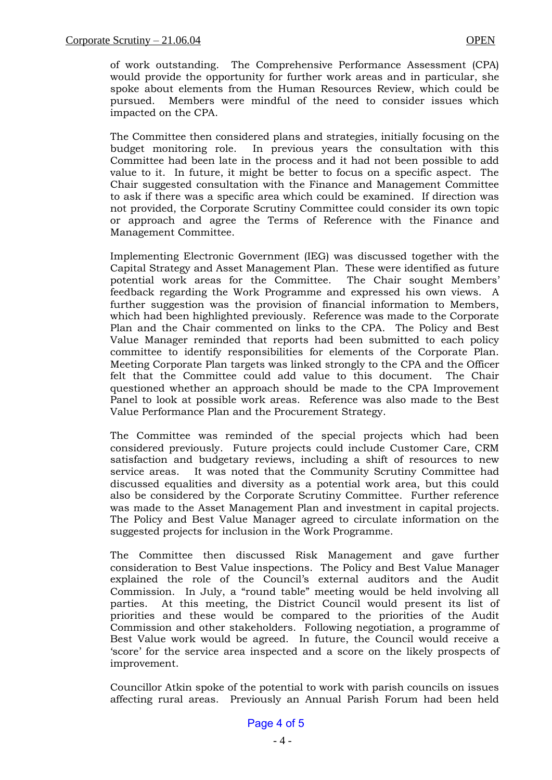of work outstanding. The Comprehensive Performance Assessment (CPA) would provide the opportunity for further work areas and in particular, she spoke about elements from the Human Resources Review, which could be pursued. Members were mindful of the need to consider issues which impacted on the CPA.

The Committee then considered plans and strategies, initially focusing on the budget monitoring role. In previous years the consultation with this Committee had been late in the process and it had not been possible to add value to it. In future, it might be better to focus on a specific aspect. The Chair suggested consultation with the Finance and Management Committee to ask if there was a specific area which could be examined. If direction was not provided, the Corporate Scrutiny Committee could consider its own topic or approach and agree the Terms of Reference with the Finance and Management Committee.

Implementing Electronic Government (IEG) was discussed together with the Capital Strategy and Asset Management Plan. These were identified as future potential work areas for the Committee. The Chair sought Members' feedback regarding the Work Programme and expressed his own views. A further suggestion was the provision of financial information to Members, which had been highlighted previously. Reference was made to the Corporate Plan and the Chair commented on links to the CPA. The Policy and Best Value Manager reminded that reports had been submitted to each policy committee to identify responsibilities for elements of the Corporate Plan. Meeting Corporate Plan targets was linked strongly to the CPA and the Officer felt that the Committee could add value to this document. The Chair questioned whether an approach should be made to the CPA Improvement Panel to look at possible work areas. Reference was also made to the Best Value Performance Plan and the Procurement Strategy.

The Committee was reminded of the special projects which had been considered previously. Future projects could include Customer Care, CRM satisfaction and budgetary reviews, including a shift of resources to new service areas. It was noted that the Community Scrutiny Committee had discussed equalities and diversity as a potential work area, but this could also be considered by the Corporate Scrutiny Committee. Further reference was made to the Asset Management Plan and investment in capital projects. The Policy and Best Value Manager agreed to circulate information on the suggested projects for inclusion in the Work Programme.

The Committee then discussed Risk Management and gave further consideration to Best Value inspections. The Policy and Best Value Manager explained the role of the Council's external auditors and the Audit Commission. In July, a "round table" meeting would be held involving all parties. At this meeting, the District Council would present its list of priorities and these would be compared to the priorities of the Audit Commission and other stakeholders. Following negotiation, a programme of Best Value work would be agreed. In future, the Council would receive a 'score' for the service area inspected and a score on the likely prospects of improvement.

Councillor Atkin spoke of the potential to work with parish councils on issues affecting rural areas. Previously an Annual Parish Forum had been held